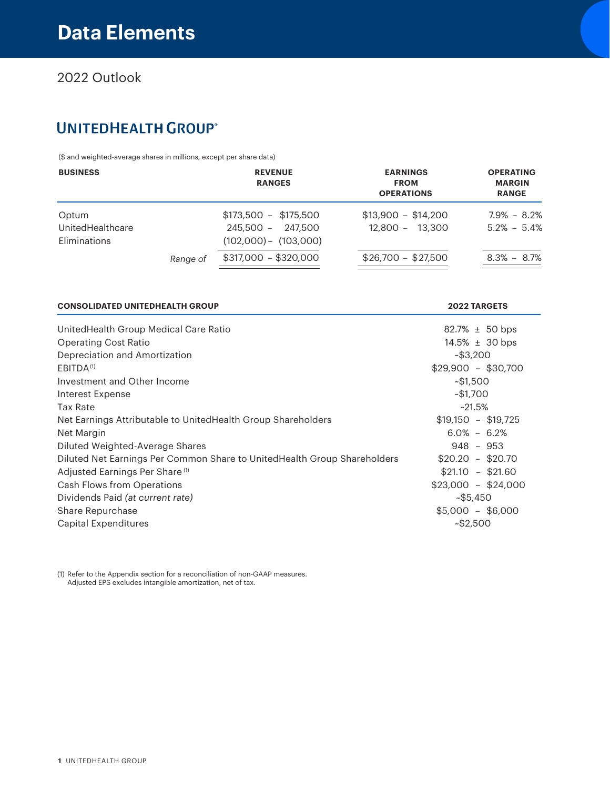### 2022 Outlook

## **UNITEDHEALTH GROUP®**

(\$ and weighted-average shares in millions, except per share data)

|          | <b>REVENUE</b><br><b>RANGES</b> | <b>EARNINGS</b><br><b>FROM</b><br><b>OPERATIONS</b> | <b>OPERATING</b><br><b>MARGIN</b><br><b>RANGE</b> |
|----------|---------------------------------|-----------------------------------------------------|---------------------------------------------------|
|          | $$173.500 - $175.500$           | $$13,900 - $14,200$                                 | $7.9\% - 8.2\%$                                   |
|          | 245,500 -<br>247.500            | $12.800 - 13.300$                                   | $5.2\% - 5.4\%$                                   |
|          | $(102,000) - (103,000)$         |                                                     |                                                   |
| Range of | $$317,000 - $320,000$           | $$26,700 - $27,500$                                 | $8.3\% - 8.7\%$                                   |
|          |                                 |                                                     |                                                   |

#### **CONSOLIDATED UNITEDHEALTH GROUP 2022 TARGETS**

| UnitedHealth Group Medical Care Ratio                                    | $82.7\% \pm 50$ bps |
|--------------------------------------------------------------------------|---------------------|
| <b>Operating Cost Ratio</b>                                              | $14.5\% \pm 30$ bps |
| Depreciation and Amortization                                            | $-$ \$3,200         |
| EBITDA <sup>(1)</sup>                                                    | $$29,900 - $30,700$ |
| Investment and Other Income                                              | $-$ \$1,500         |
| Interest Expense                                                         | $-$ \$1,700         |
| <b>Tax Rate</b>                                                          | $~21.5\%$           |
| Net Earnings Attributable to UnitedHealth Group Shareholders             | $$19,150 - $19,725$ |
| Net Margin                                                               | $6.0\% - 6.2\%$     |
| Diluted Weighted-Average Shares                                          | $948 - 953$         |
| Diluted Net Earnings Per Common Share to UnitedHealth Group Shareholders | $$20.20 - $20.70$   |
| Adjusted Earnings Per Share <sup>(1)</sup>                               | $$21.10 - $21.60$   |
| Cash Flows from Operations                                               | $$23,000 - $24,000$ |
| Dividends Paid (at current rate)                                         | $-$ \$5,450         |
| Share Repurchase                                                         | $$5,000 - $6,000$   |
| Capital Expenditures                                                     | $-$ \$2.500         |

(1) Refer to the Appendix section for a reconciliation of non-GAAP measures. Adjusted EPS excludes intangible amortization, net of tax.

#### **1** UNITEDHEALTH GROUP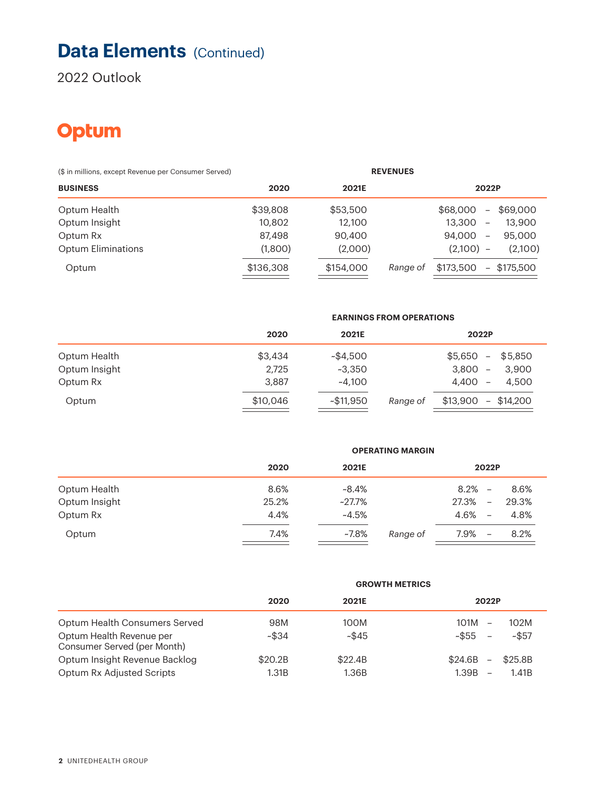# **Data Elements** (Continued)

2022 Outlook

## **Optum**

| (\$ in millions, except Revenue per Consumer Served) |           | <b>REVENUES</b> |          |                                                    |  |  |
|------------------------------------------------------|-----------|-----------------|----------|----------------------------------------------------|--|--|
| <b>BUSINESS</b>                                      | 2020      | 2021E           | 2022P    |                                                    |  |  |
| Optum Health                                         | \$39,808  | \$53,500        |          | \$68,000<br>\$69,000<br>-                          |  |  |
| Optum Insight                                        | 10,802    | 12,100          |          | 13,300<br>13,900<br>$\qquad \qquad -$              |  |  |
| Optum Rx                                             | 87,498    | 90,400          |          | 94,000<br>95,000<br>-                              |  |  |
| <b>Optum Eliminations</b>                            | (1,800)   | (2,000)         |          | (2,100)<br>(2,100)<br>$\overline{\phantom{0}}$     |  |  |
| Optum                                                | \$136,308 | \$154,000       | Range of | \$173,500<br>\$175,500<br>$\overline{\phantom{0}}$ |  |  |

#### **EARNINGS FROM OPERATIONS**

|               | 2020     | 2021E       |          | 2022P               |
|---------------|----------|-------------|----------|---------------------|
| Optum Health  | \$3,434  | $-$ \$4,500 |          | $$5.650 - $5.850$   |
| Optum Insight | 2,725    | $-3,350$    |          | $3,800 -$<br>3,900  |
| Optum Rx      | 3,887    | $-4.100$    |          | $4.400 -$<br>4.500  |
| Optum         | \$10,046 | ~\$11,950   | Range of | $$13,900 - $14,200$ |

#### **OPERATING MARGIN**

|               | 2020  | 2021E  |          | 2022P      |       |
|---------------|-------|--------|----------|------------|-------|
| Optum Health  | 8.6%  | ~8.4%  |          | $8.2\%$ –  | 8.6%  |
| Optum Insight | 25.2% | ~27.7% |          | $27.3\%$ – | 29.3% |
| Optum Rx      | 4.4%  | ~4.5%  |          | $4.6\% -$  | 4.8%  |
| Optum         | 7.4%  | ~7.8%  | Range of | 7.9% –     | 8.2%  |

|                                                         | <b>GROWTH METRICS</b> |          |                                                |  |
|---------------------------------------------------------|-----------------------|----------|------------------------------------------------|--|
|                                                         | 2020                  | 2021E    | 2022P                                          |  |
| Optum Health Consumers Served                           | 98M                   | 100M     | 102M<br>101M                                   |  |
| Optum Health Revenue per<br>Consumer Served (per Month) | ~\$34                 | $-$ \$45 | ~\$57<br>~\$55<br>$\overline{\phantom{0}}$     |  |
| Optum Insight Revenue Backlog                           | \$20.2B               | \$22.4B  | \$24.6B<br>\$25.8B<br>$\overline{\phantom{a}}$ |  |
| Optum Rx Adjusted Scripts                               | 1.31B                 | 1.36B    | 1.39B<br>1.41 <sub>B</sub>                     |  |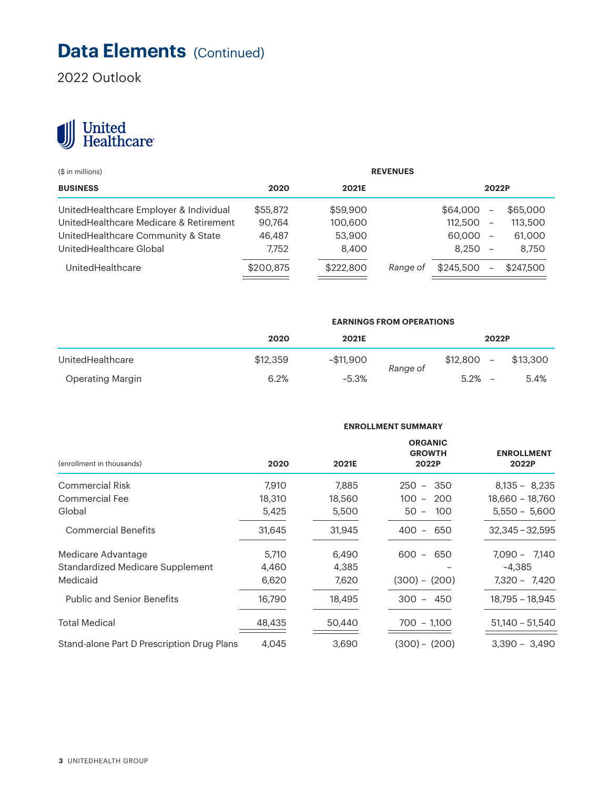# **Data Elements** (Continued)

2022 Outlook

# United<br>
Healthcare

| $($$ in millions)                      |           |           |          |           |                                       |  |
|----------------------------------------|-----------|-----------|----------|-----------|---------------------------------------|--|
| <b>BUSINESS</b><br>2020<br>2021E       |           |           |          | 2022P     |                                       |  |
| UnitedHealthcare Employer & Individual | \$55,872  | \$59,900  |          | \$64,000  | \$65,000<br>$\qquad \qquad$           |  |
| UnitedHealthcare Medicare & Retirement | 90.764    | 100,600   |          | 112,500   | 113,500<br>$\overline{\phantom{0}}$   |  |
| United Healthcare Community & State    | 46,487    | 53,900    |          | 60,000    | 61,000<br>$\overline{\phantom{0}}$    |  |
| UnitedHealthcare Global                | 7.752     | 8,400     |          | 8,250     | 8,750<br>$\qquad \qquad -$            |  |
| UnitedHealthcare                       | \$200,875 | \$222,800 | Range of | \$245,500 | \$247,500<br>$\overline{\phantom{0}}$ |  |

#### **EARNINGS FROM OPERATIONS**

|                  | 2020     | 2021E     |          |          | 2022P                    |          |
|------------------|----------|-----------|----------|----------|--------------------------|----------|
| UnitedHealthcare | \$12.359 | ~\$11,900 | Range of | \$12,800 | $\overline{\phantom{a}}$ | \$13,300 |
| Operating Margin | 6.2%     | ~5.3%     |          | 5.2%     | $\overline{\phantom{0}}$ | 5.4%     |

#### **ENROLLMENT SUMMARY**

| (enrollment in thousands)                  | 2020   | 2021E  | <b>ORGANIC</b><br><b>GROWTH</b><br>2022P | <b>ENROLLMENT</b><br>2022P |
|--------------------------------------------|--------|--------|------------------------------------------|----------------------------|
| <b>Commercial Risk</b>                     | 7.910  | 7,885  | 350<br>250<br>$\overline{\phantom{a}}$   | $8,135 - 8,235$            |
| Commercial Fee                             | 18,310 | 18,560 | 100<br>200<br>$\overline{\phantom{a}}$   | 18,660 - 18,760            |
| Global                                     | 5,425  | 5,500  | $50 -$<br>100                            | $5,550 - 5,600$            |
| <b>Commercial Benefits</b>                 | 31,645 | 31,945 | 400<br>650<br>$\overline{\phantom{a}}$   | $32,345 - 32,595$          |
| Medicare Advantage                         | 5.710  | 6,490  | 600<br>650<br>$\overline{\phantom{a}}$   | $7.090 - 7.140$            |
| Standardized Medicare Supplement           | 4,460  | 4,385  |                                          | ~4,385                     |
| Medicaid                                   | 6,620  | 7,620  | $(300) - (200)$                          | $7.320 - 7.420$            |
| <b>Public and Senior Benefits</b>          | 16,790 | 18,495 | 450<br>$300 -$                           | 18.795 - 18.945            |
| <b>Total Medical</b>                       | 48,435 | 50,440 | 700 - 1.100                              | $51.140 - 51.540$          |
| Stand-alone Part D Prescription Drug Plans | 4,045  | 3,690  | $(300) - (200)$                          | $3.390 - 3.490$            |